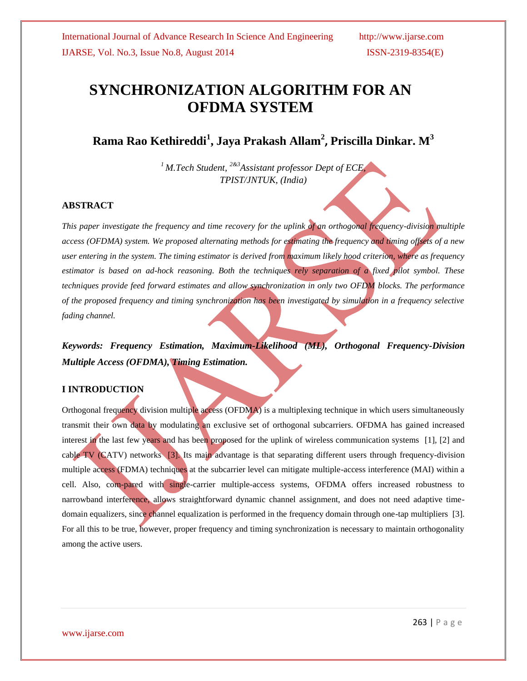# **SYNCHRONIZATION ALGORITHM FOR AN OFDMA SYSTEM**

**Rama Rao Kethireddi<sup>1</sup> , Jaya Prakash Allam<sup>2</sup> , Priscilla Dinkar. M<sup>3</sup>**

*<sup>1</sup> M.Tech Student, 2&3Assistant professor Dept of ECE, TPIST/JNTUK, (India)* 

## **ABSTRACT**

*This paper investigate the frequency and time recovery for the uplink of an orthogonal frequency-division multiple access (OFDMA) system. We proposed alternating methods for estimating the frequency and timing offsets of a new user entering in the system. The timing estimator is derived from maximum likely hood criterion, where as frequency estimator is based on ad-hock reasoning. Both the techniques rely separation of a fixed pilot symbol. These techniques provide feed forward estimates and allow synchronization in only two OFDM blocks. The performance of the proposed frequency and timing synchronization has been investigated by simulation in a frequency selective fading channel.*

*Keywords: Frequency Estimation, Maximum-Likelihood (ML), Orthogonal Frequency-Division Multiple Access (OFDMA), Timing Estimation.*

## **I INTRODUCTION**

Orthogonal frequency division multiple access (OFDMA) is a multiplexing technique in which users simultaneously transmit their own data by modulating an exclusive set of orthogonal subcarriers. OFDMA has gained increased interest in the last few years and has been proposed for the uplink of wireless communication systems [1], [2] and cable TV (CATV) networks [3]. Its main advantage is that separating different users through frequency-division multiple access (FDMA) techniques at the subcarrier level can mitigate multiple-access interference (MAI) within a cell. Also, com-pared with single-carrier multiple-access systems, OFDMA offers increased robustness to narrowband interference, allows straightforward dynamic channel assignment, and does not need adaptive timedomain equalizers, since channel equalization is performed in the frequency domain through one-tap multipliers [3]. For all this to be true, however, proper frequency and timing synchronization is necessary to maintain orthogonality among the active users.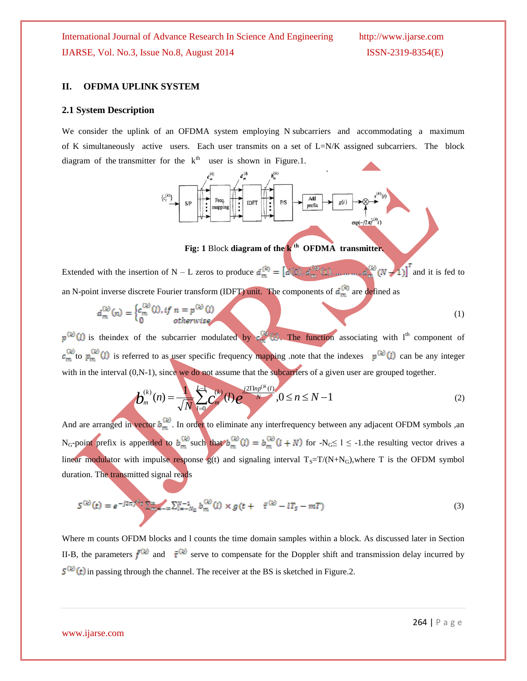#### **II. OFDMA UPLINK SYSTEM**

#### **2.1 System Description**

We consider the uplink of an OFDMA system employing N subcarriers and accommodating a maximum of K simultaneously active users. Each user transmits on a set of L=N/K assigned subcarriers. The block diagram of the transmitter for the  $k<sup>th</sup>$  user is shown in Figure.1.



## **Fig: 1** Block **diagram of the k th OFDMA transmitter.**

Extended with the insertion of N – L zeros to produce  $d_m^{(k)} = \left[ \frac{\partial f_n^{(k)}}{\partial x_i} \right]_{x_i}^{(k)}$  (i),  $\frac{\partial f_n^{(k)}}{\partial x_i} \left( 1 \right)$ ,  $\cdots$  and  $\frac{\partial f_n^{(k)}}{\partial x_i} \left( N - 1 \right) \right]^T$  and it is fed to an N-point inverse discrete Fourier transform (IDFT) unit. The components of  $d_m^{(k)}$  are defined as

$$
d_m^{(k)}(n) = \begin{cases} c_m^{(k)}(l), & if \ n = p^{(k)}(l) \\ 0 & otherwise \end{cases}
$$
 (1)

 $p^{(k)}(l)$  is theindex of the subcarrier modulated by  $c_{\infty}^{(k)}(l)$ . The function associating with l<sup>th</sup> component of  $c_m^{(k)}$  to  $p_m^{(k)}(l)$  is referred to as user specific frequency mapping .note that the indexes  $p^{(k)}(l)$  can be any integer

with in the interval (0,N-1), since we do not assume that the subcarriers of a given user are grouped together.  
\n
$$
b_m^{(k)}(n) = \frac{1}{\sqrt{N}} \sum_{l=0}^{L-1} \binom{k}{m} (l) e^{-j2\prod_{l} p_l p_l(k-l)} , 0 \le n \le N-1
$$
\n(2)

And are arranged in vector  $b_m^{(k)}$ . In order to eliminate any interfrequency between any adjacent OFDM symbols ,an N<sub>G</sub>-point prefix is appended to  $b_m^{(k)}$  such that  $b_m^{(k)}(l) = b_m^{(k)}(l+N)$  for  $-N$ <sub>G</sub> $\le l \le -1$ . the resulting vector drives a linear modulator with impulse response  $g(t)$  and signaling interval  $T_s = T/(N+N_G)$ , where T is the OFDM symbol duration. The transmitted signal reads

$$
S^{(k)}(t) = e^{-j2\pi f^{(k)}\tau} \sum_{m_1 = -\infty}^{\infty} \sum_{l=-N_G}^{N-1} b_m^{(k)}(l) \times g(t + \bar{\tau}^{(k)} - lT_S - mT) \tag{3}
$$

Where m counts OFDM blocks and l counts the time domain samples within a block. As discussed later in Section II-B, the parameters  $\bar{f}^{(k)}$  and  $\bar{\tau}^{(k)}$  serve to compensate for the Doppler shift and transmission delay incurred by  $S^{(k)}(t)$  in passing through the channel. The receiver at the BS is sketched in Figure.2.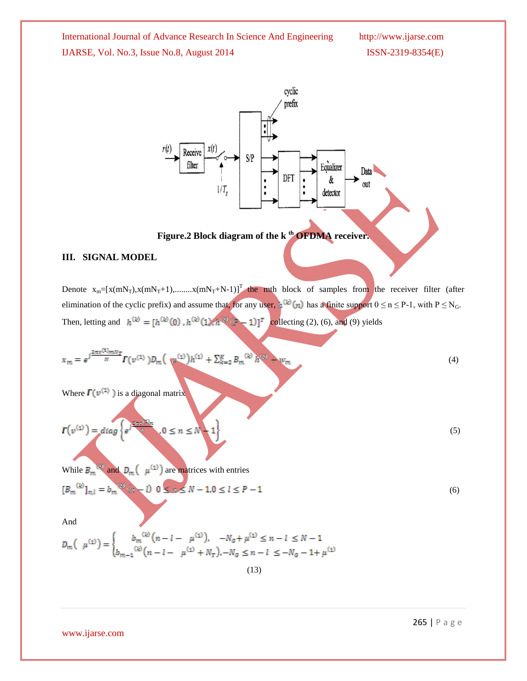

## **Figure.2 Block diagram of the k th OFDMA receiver.**

## **III. SIGNAL MODEL**

Denote  $x_m=[x(mN_T),x(mN_T+1),...x(mN_T+N-1)]^T$  the mth block of samples from the receiver filter (after elimination of the cyclic prefix) and assume that, for any user,  $h^{(k)}(n)$  has a finite support  $0 \le n \le P-1$ , with  $P \le N_G$ . Then, letting and  $h^{(k)} = [h^{(k)}(0), h^{(k)}(1), h^{(k)}(k-1)]^T$  collecting (2), (6), and (9) yields

$$
x_m = e^{j\frac{2\pi v^{(1)}mN_T}{N}} \Gamma(v^{(1)}) D_m\left(\sqrt{u^{(1)}}\right)h^{(1)} + \sum_{k=2}^K B_m^{(k)} h^{(k)} + w_m \tag{4}
$$

Where  $\Gamma(\nu^{(1)})$  is a diagonal matrix

$$
\boldsymbol{\Gamma}(v^{(1)}) = diag\left\{e^{j\frac{2\pi m N^2 k}{N}}, 0 \leq n \leq N-1\right\}
$$
\n
$$
(5)
$$

While  $B_m$ <sup>( $\mu$ ( $\mu$ <sup>(1)</sup>) are matrices with entries</sup>

$$
[B_m^{(k)}]_{n,l} = b_m^{(k)}(n-l) \quad 0 \le n \le N-1, 0 \le l \le P-1 \tag{6}
$$

And

$$
D_m\left(\mu^{(1)}\right) = \begin{cases} b_m^{(k)}\left(n - l - \mu^{(1)}\right), & -N_g + \mu^{(1)} \le n - l \le N - 1\\ b_{m-1}^{(k)}\left(n - l - \mu^{(1)} + N_T\right), -N_g \le n - l \le -N_g - 1 + \mu^{(1)} \end{cases}
$$

$$
(13)
$$

www.ijarse.com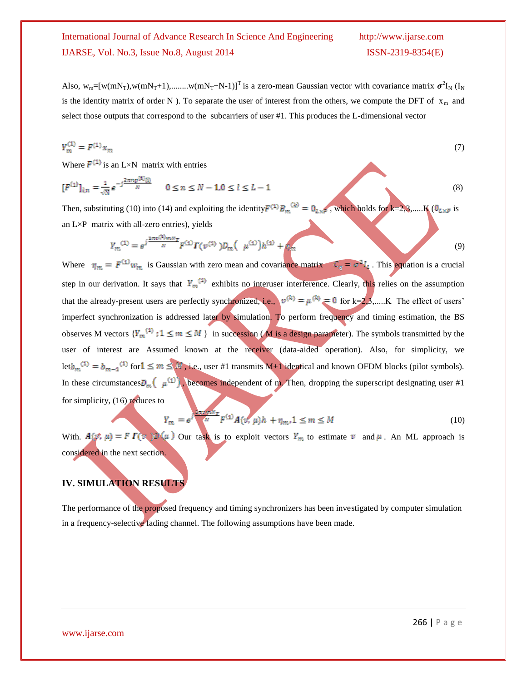Also,  $w_m=[w(mN_T), w(mN_T+1), \dots, w(mN_T+N-1)]$ <sup>T</sup> is a zero-mean Gaussian vector with covariance matrix  $\sigma^2 I_N$  (I<sub>N</sub> is the identity matrix of order N ). To separate the user of interest from the others, we compute the DFT of  $x_m$  and select those outputs that correspond to the subcarriers of user #1. This produces the L-dimensional vector

$$
Y_m^{(1)} = F^{(1)} x_m \tag{7}
$$

Where  $F^{(1)}$  is an L×N matrix with entries

$$
[F^{(1)}]_{l,n} = \frac{1}{\sqrt{N}} e^{-j\frac{2\pi np^{(1)}(l)}{N}} \qquad 0 \le n \le N - 1, 0 \le l \le L - 1
$$
 (8)

Then, substituting (10) into (14) and exploiting the identity  $F^{(1)}B_m^{(k)} = 0_L \times F$ , which holds for  $k=2,3,...$ . K ( $0_{L\times F}$  is an  $L \times P$  matrix with all-zero entries), yields

$$
V_m^{(1)} = e^{j\frac{2\pi v^{(1)}mN_T}{N}} F^{(1)} \Gamma(v^{(1)}) D_m \left(\mu^{(1)}\right) h^{(1)} + m \tag{9}
$$

Where  $\eta_m = F^{(1)} w_m$  is Gaussian with zero mean and covariance matrix  $\mathcal{L}_m = \sigma^2 I_1$ . This equation is a crucial step in our derivation. It says that  $Y_m^{(1)}$  exhibits no interuser interference. Clearly, this relies on the assumption that the already-present users are perfectly synchronized, i.e.,  $v^{(k)} = \mu^{(k)} = 0$  for k=2,3,.....K The effect of users' imperfect synchronization is addressed later by simulation. To perform frequency and timing estimation, the BS observes M vectors  ${Y_m}^{(1)}$ :  $1 \le m \le M$  in succession (M is a design parameter). The symbols transmitted by the user of interest are Assumed known at the receiver (data-aided operation). Also, for simplicity, we let  $b_m^{(1)} = b_{m-1}^{(1)}$  for  $1 \le m \le M$ , i.e., user #1 transmits M+1 identical and known OFDM blocks (pilot symbols). In these circumstances  $D_m(\mu^{(1)})$ , becomes independent of m. Then, dropping the superscript designating user #1 for simplicity, (16) reduces to

$$
N_m = e^{\int \frac{1}{N} \int F^{(1)} A(\nu, \mu) h + \eta_m, 1 \le m \le M} \tag{10}
$$

With.  $A(\psi, \mu) = F \Gamma(\nu) \mathbb{D}(\mu)$  Our task is to exploit vectors  $Y_m$  to estimate v and  $\mu$ . An ML approach is considered in the next section.

## **IV. SIMULATION RESULTS**

The performance of the proposed frequency and timing synchronizers has been investigated by computer simulation in a frequency-selective fading channel. The following assumptions have been made.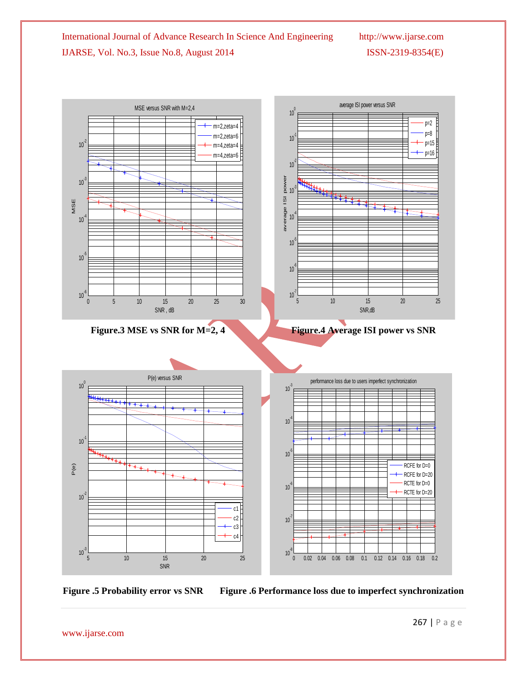average ISI power versus SNR MSE versus SNR with M=2,4  $10<sup>0</sup>$  $p=2$  $m=2.7$ etap=8 m=2,zeta=6 10-1 p=15  $10<sup>2</sup>$ m=4,zeta=4 p=16 m=4,zeta=6  $10<sup>2</sup>$ power average ISI power Harry March 1997  $10<sup>7</sup>$ 10 average ISI MSE  $10<sup>7</sup>$  $10<sup>7</sup>$  $10<sup>7</sup>$  $10<sup>3</sup>$  $10^{\degree}$  $10^{-6}$  L<br>0  $10^{17}$ 0 5 10 15 20 25 30 5 10 15 20 25 SNR , dB SNR,dB **Figure.3** MSE vs SNR for M=2, 4 Figure.4 Average ISI power vs SNR P(e) versus SNR performance loss due to users imperfect synchronization  $10<sup>0</sup>$  $10^{-3}$  $10<sup>-4</sup>$  $10<sup>7</sup>$  $10<sup>3</sup>$ P(e) RCFE for D=0 RCFE for D=20 RCTE for D=0 10-6 RCTE for D=20  $10<sup>2</sup>$  $\frac{1}{c}$ c2  $c<sub>1</sub>$  $\frac{c}{c}$ <br>c3  $10^{\degree}$ c3<br>c4  $10^{3}$   $\frac{1}{5}$  $10<sup>7</sup>$ 0 0.02 0.04 0.06 0.08 0.1 0.12 0.14 0.16 0.18 0.2 5 10 15 20 25 SNR

**Figure .5 Probability error vs SNR Figure .6 Performance loss due to imperfect synchronization**

www.ijarse.com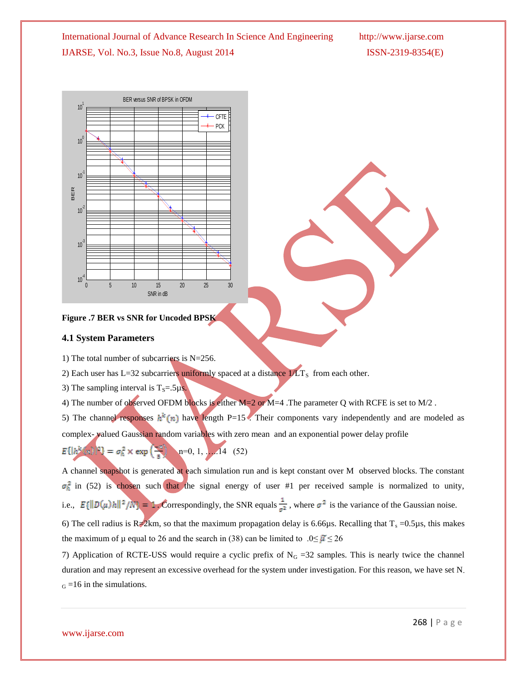



#### **4.1 System Parameters**

1) The total number of subcarriers is N=256.

2) Each user has L=32 subcarriers uniformly spaced at a distance  $1/LT<sub>S</sub>$  from each other.

3) The sampling interval is  $T_s = .5\mu s$ .

4) The number of observed OFDM blocks is either M=2 or M=4 .The parameter Q with RCFE is set to M/2 .

5) The channel responses  $h^k(n)$  have length P=15. Their components vary independently and are modeled as complex-valued Gaussian random variables with zero mean and an exponential power delay profile

 $E\{|h^k(\omega)\|^2\} = \sigma_h^2 \times \exp\left(\frac{\omega}{\epsilon}\right) \quad n=0, 1, ...$  14 (52)

A channel snapshot is generated at each simulation run and is kept constant over M observed blocks. The constant  $\sigma_h^2$  in (52) is chosen such that the signal energy of user #1 per received sample is normalized to unity, i.e.,  $E\{\|\mathcal{D}(\mu)h\|^2/N\} = 1$ . Correspondingly, the SNR equals  $\frac{1}{\sigma^2}$ , where  $\sigma^2$  is the variance of the Gaussian noise.

6) The cell radius is R $\neq 2$ km, so that the maximum propagation delay is 6.66µs. Recalling that T<sub>s</sub> =0.5µs, this makes the maximum of  $\mu$  equal to 26 and the search in (38) can be limited to .0≤  $\mu$  ≤ 26

7) Application of RCTE-USS would require a cyclic prefix of  $N<sub>G</sub> = 32$  samples. This is nearly twice the channel duration and may represent an excessive overhead for the system under investigation. For this reason, we have set N.  $_G = 16$  in the simulations.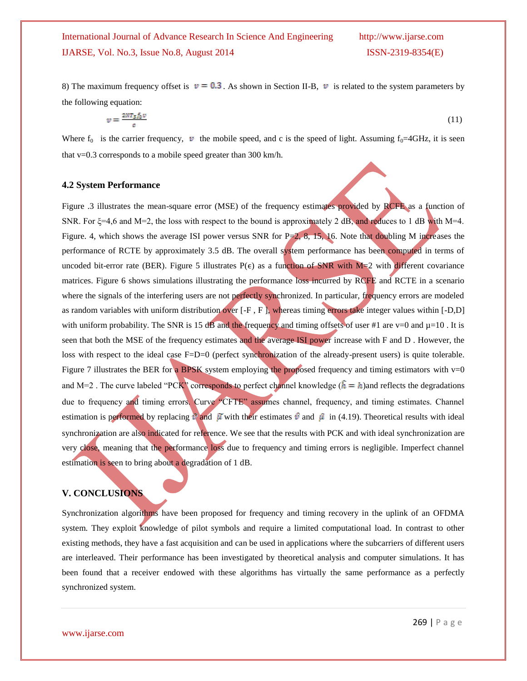8) The maximum frequency offset is  $v = 0.3$ . As shown in Section II-B, v is related to the system parameters by the following equation:

$$
z = \frac{2NT_s f_0 v}{c} \tag{11}
$$

Where  $f_0$  is the carrier frequency,  $v$  the mobile speed, and c is the speed of light. Assuming  $f_0=4GHz$ , it is seen that v=0.3 corresponds to a mobile speed greater than 300 km/h.

### **4.2 System Performance**

Figure .3 illustrates the mean-square error (MSE) of the frequency estimates provided by RCFE as a function of SNR. For  $\xi = 4.6$  and M=2, the loss with respect to the bound is approximately 2 dB, and reduces to 1 dB with M=4. Figure. 4, which shows the average ISI power versus SNR for  $P=2$ , 8, 15, 16. Note that doubling M increases the performance of RCTE by approximately 3.5 dB. The overall system performance has been computed in terms of uncoded bit-error rate (BER). Figure 5 illustrates  $P(\epsilon)$  as a function of SNR with M=2 with different covariance matrices. Figure 6 shows simulations illustrating the performance loss incurred by RCFE and RCTE in a scenario where the signals of the interfering users are not perfectly synchronized. In particular, frequency errors are modeled as random variables with uniform distribution over  $[-F, F]$ , whereas timing errors take integer values within  $[-D, D]$ with uniform probability. The SNR is 15 dB and the frequency and timing offsets of user #1 are v=0 and  $\mu$ =10. It is seen that both the MSE of the frequency estimates and the average ISI power increase with F and D . However, the loss with respect to the ideal case F=D=0 (perfect synchronization of the already-present users) is quite tolerable. Figure 7 illustrates the BER for a BPSK system employing the proposed frequency and timing estimators with  $v=0$ and M=2. The curve labeled "PCK" corresponds to perfect channel knowledge  $(\hat{h} = h)$  and reflects the degradations due to frequency and timing errors. Curve "CFTE" assumes channel, frequency, and timing estimates. Channel estimation is performed by replacing  $\hat{v}$  and  $\hat{\mu}$  with their estimates  $\hat{v}$  and  $\hat{\mu}$  in (4.19). Theoretical results with ideal synchronization are also indicated for reference. We see that the results with PCK and with ideal synchronization are very close, meaning that the performance loss due to frequency and timing errors is negligible. Imperfect channel estimation is seen to bring about a degradation of 1 dB.

## **V. CONCLUSIONS**

Synchronization algorithms have been proposed for frequency and timing recovery in the uplink of an OFDMA system. They exploit knowledge of pilot symbols and require a limited computational load. In contrast to other existing methods, they have a fast acquisition and can be used in applications where the subcarriers of different users are interleaved. Their performance has been investigated by theoretical analysis and computer simulations. It has been found that a receiver endowed with these algorithms has virtually the same performance as a perfectly synchronized system.